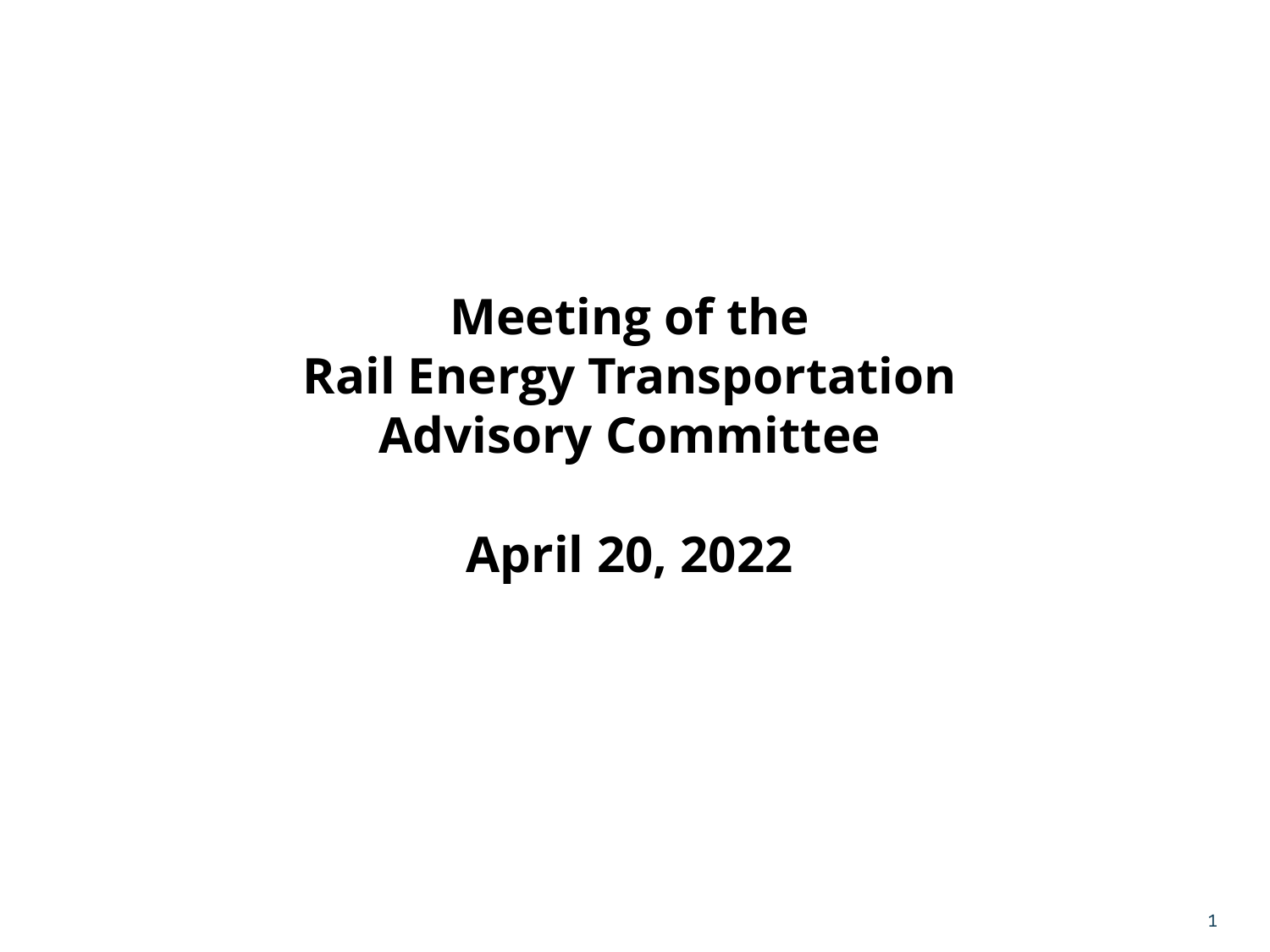#### **Meeting of the Rail Energy Transportation Advisory Committee**

**April 20, 2022**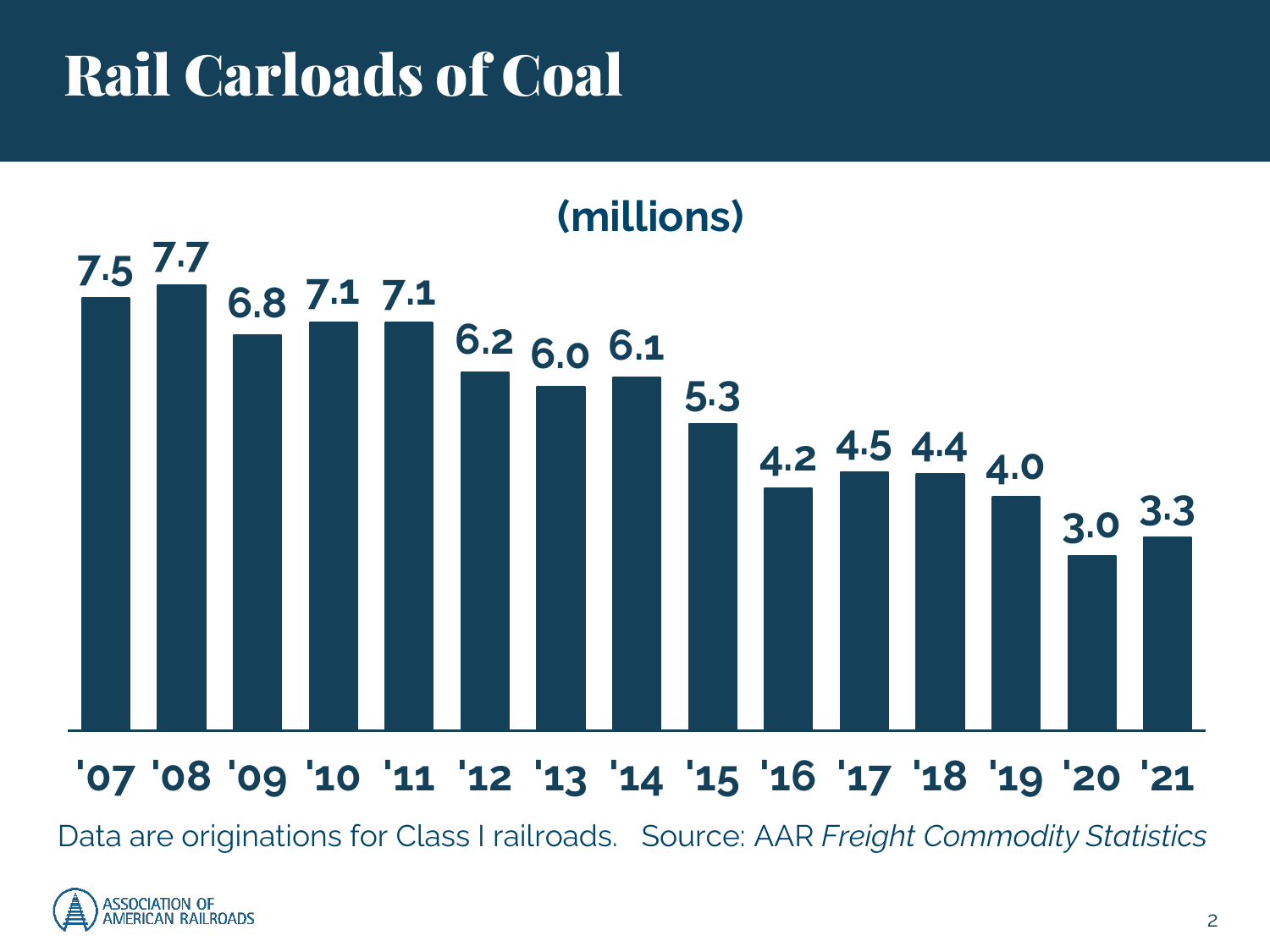# Rail Carloads of Coal



#### **'07 '08 '09 '10 '11 '12 '13 '14 '15 '16 '17 '18 '19 '20 '21**

Data are originations for Class I railroads. Source: AAR *Freight Commodity Statistics*

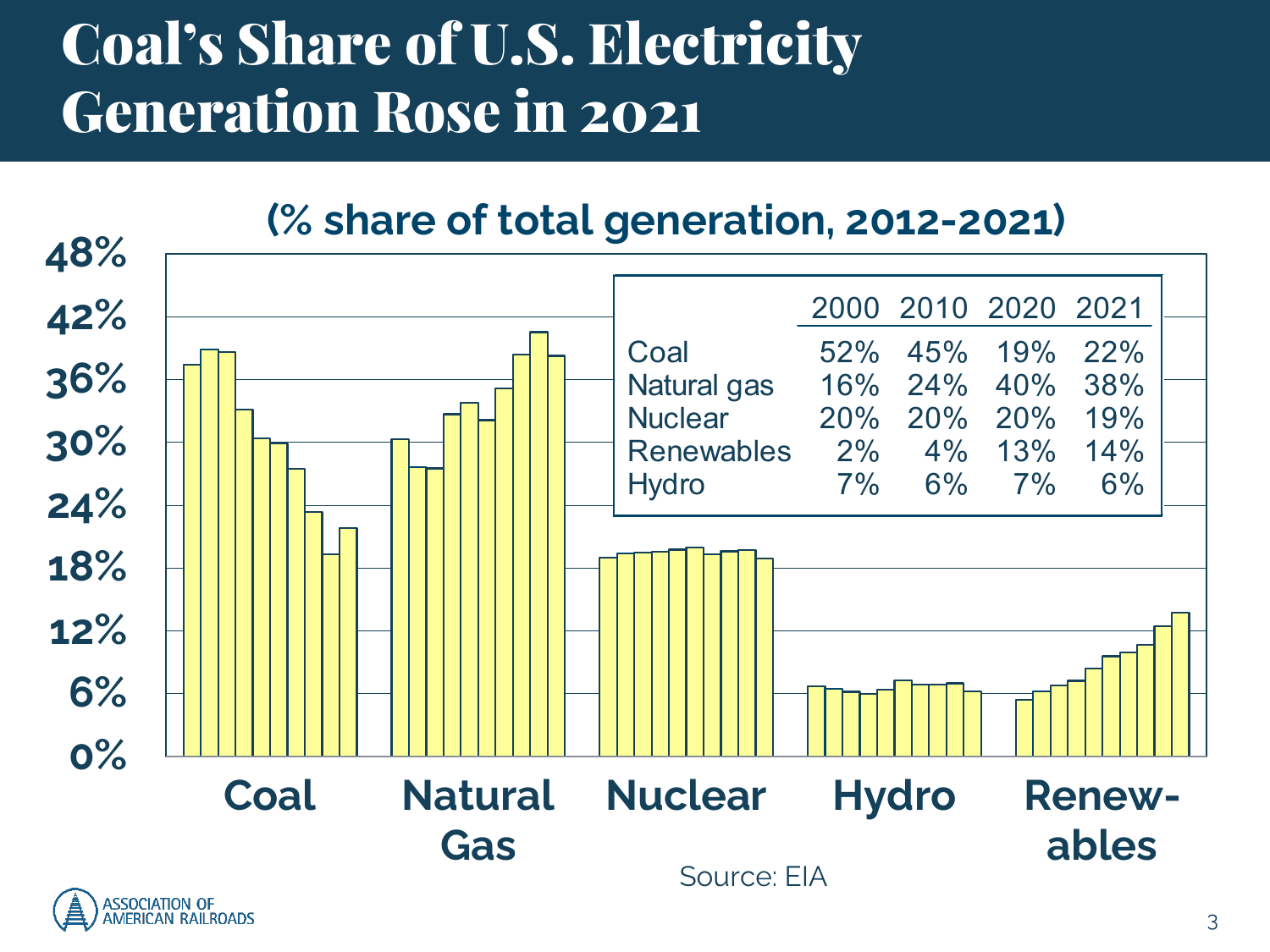### Coal's Share of U.S. Electricity Generation Rose in 2021



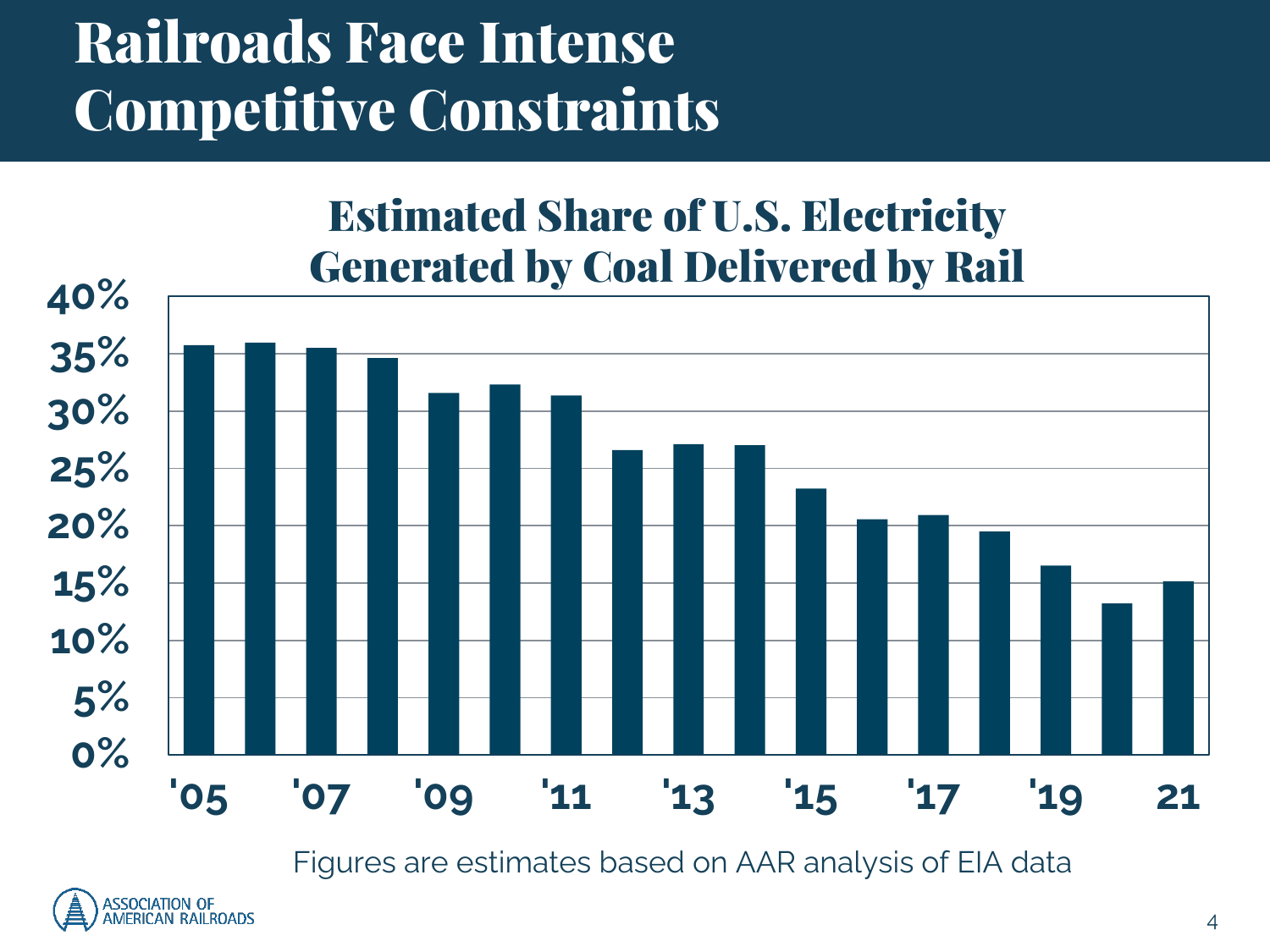### Railroads Face Intense Competitive Constraints

#### Estimated Share of U.S. Electricity Generated by Coal Delivered by Rail



Figures are estimates based on AAR analysis of EIA data

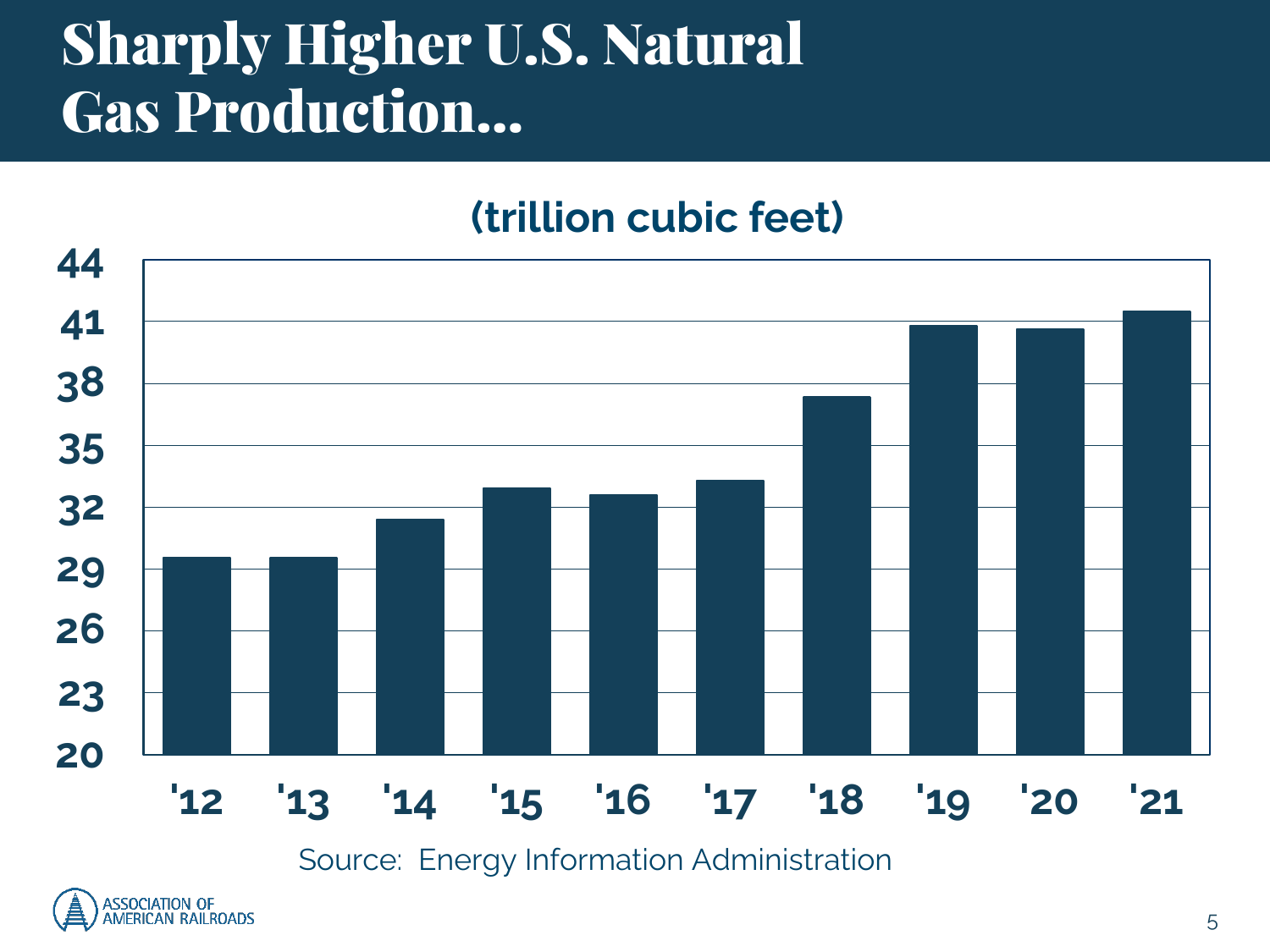### Sharply Higher U.S. Natural Gas Production…

#### **(trillion cubic feet)**

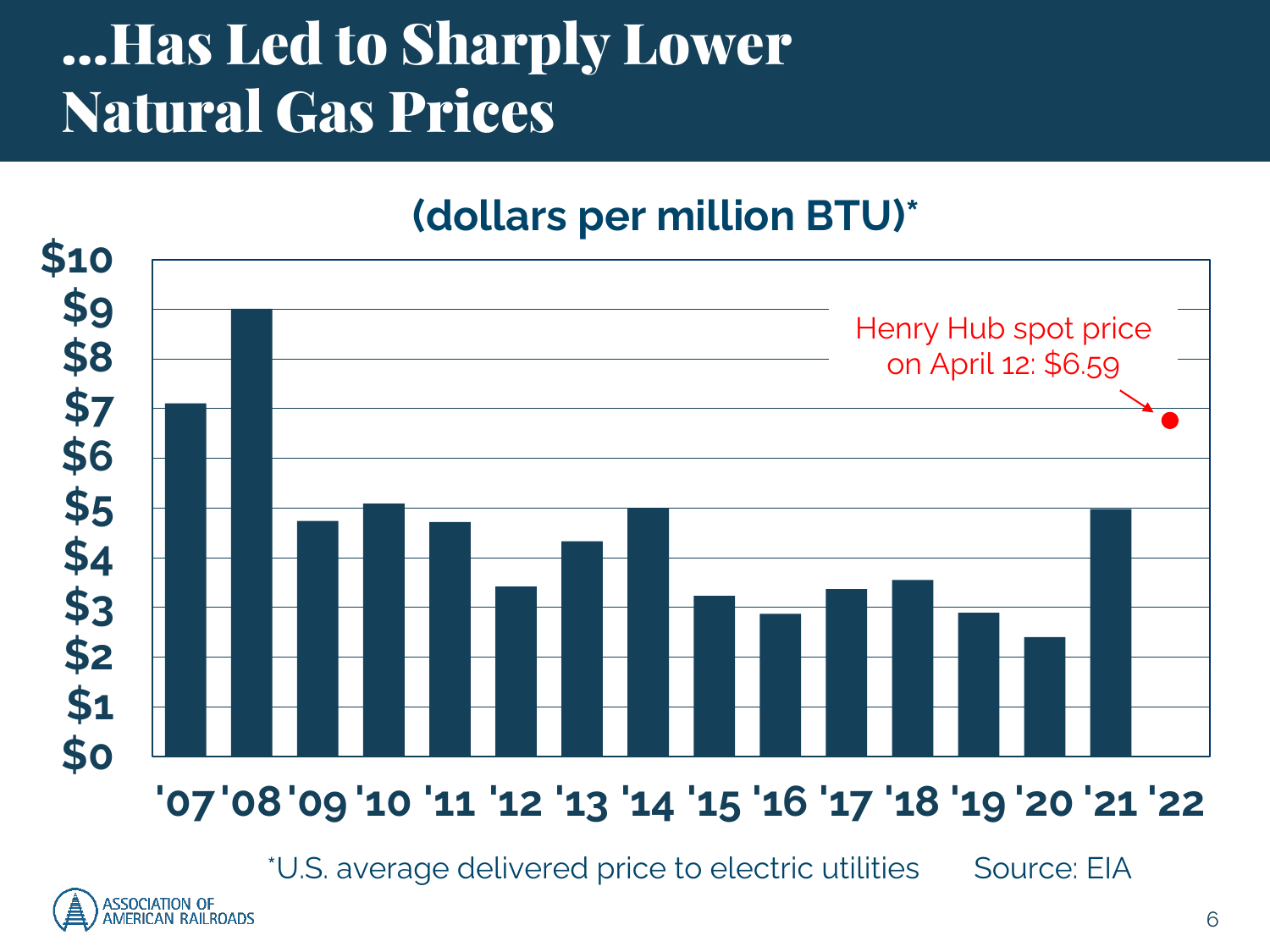### …Has Led to Sharply Lower Natural Gas Prices

#### **(dollars per million BTU)\***



\*U.S. average delivered price to electric utilities Source: EIA

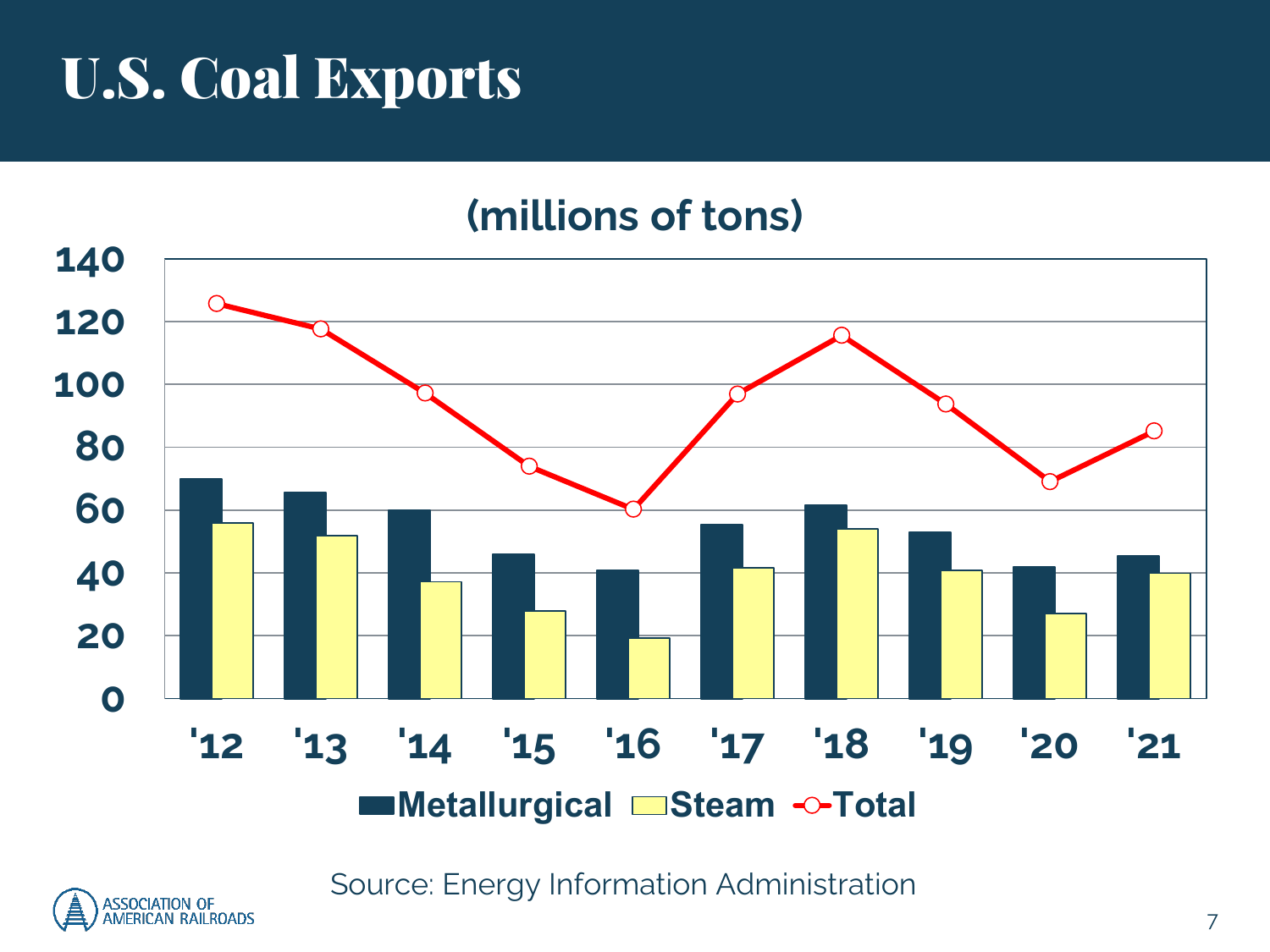### U.S. Coal Exports

#### **(millions of tons)**



Source: Energy Information Administration

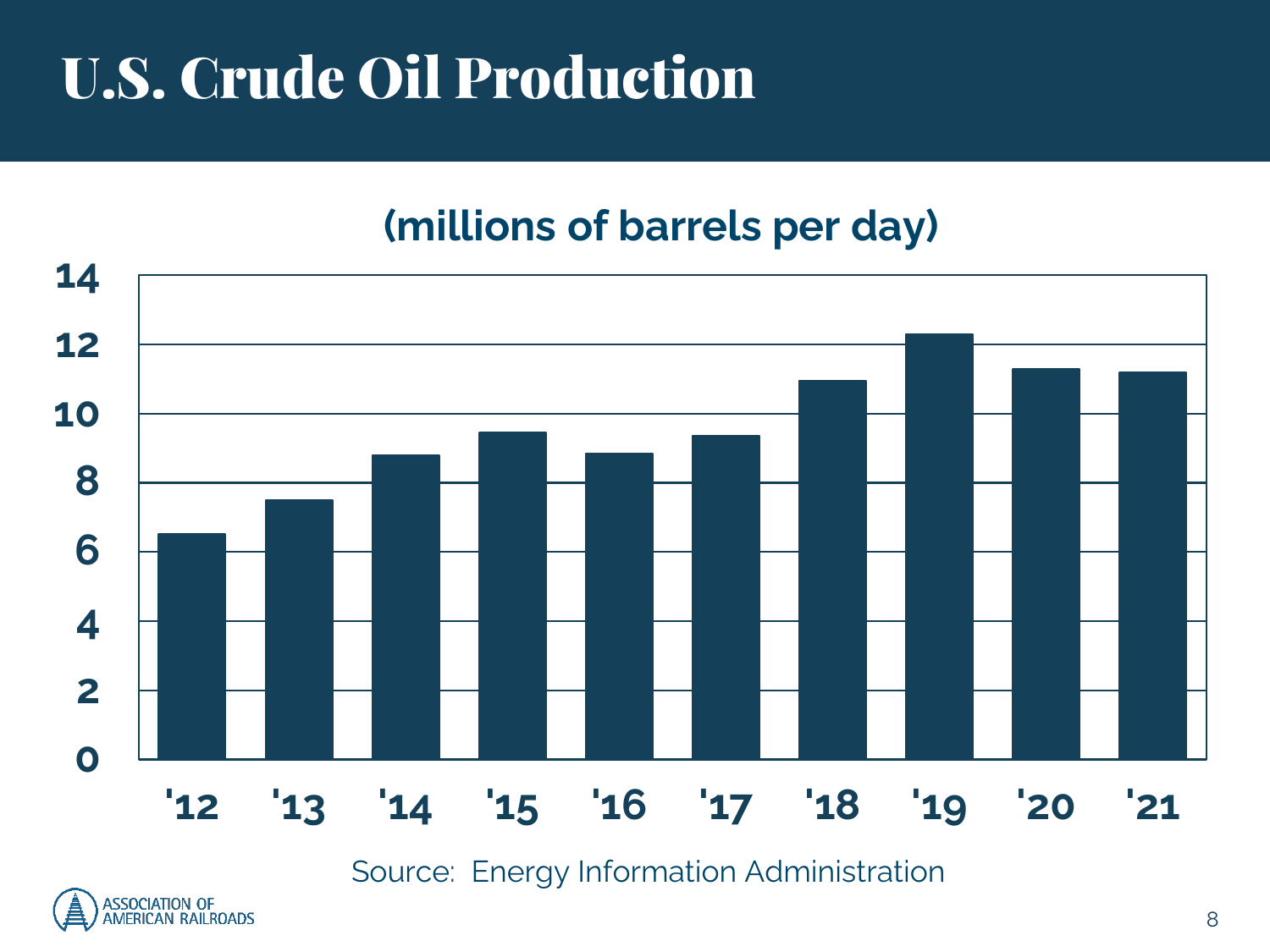# U.S. Crude Oil Production

#### **(millions of barrels per day)**



Source: Energy Information Administration

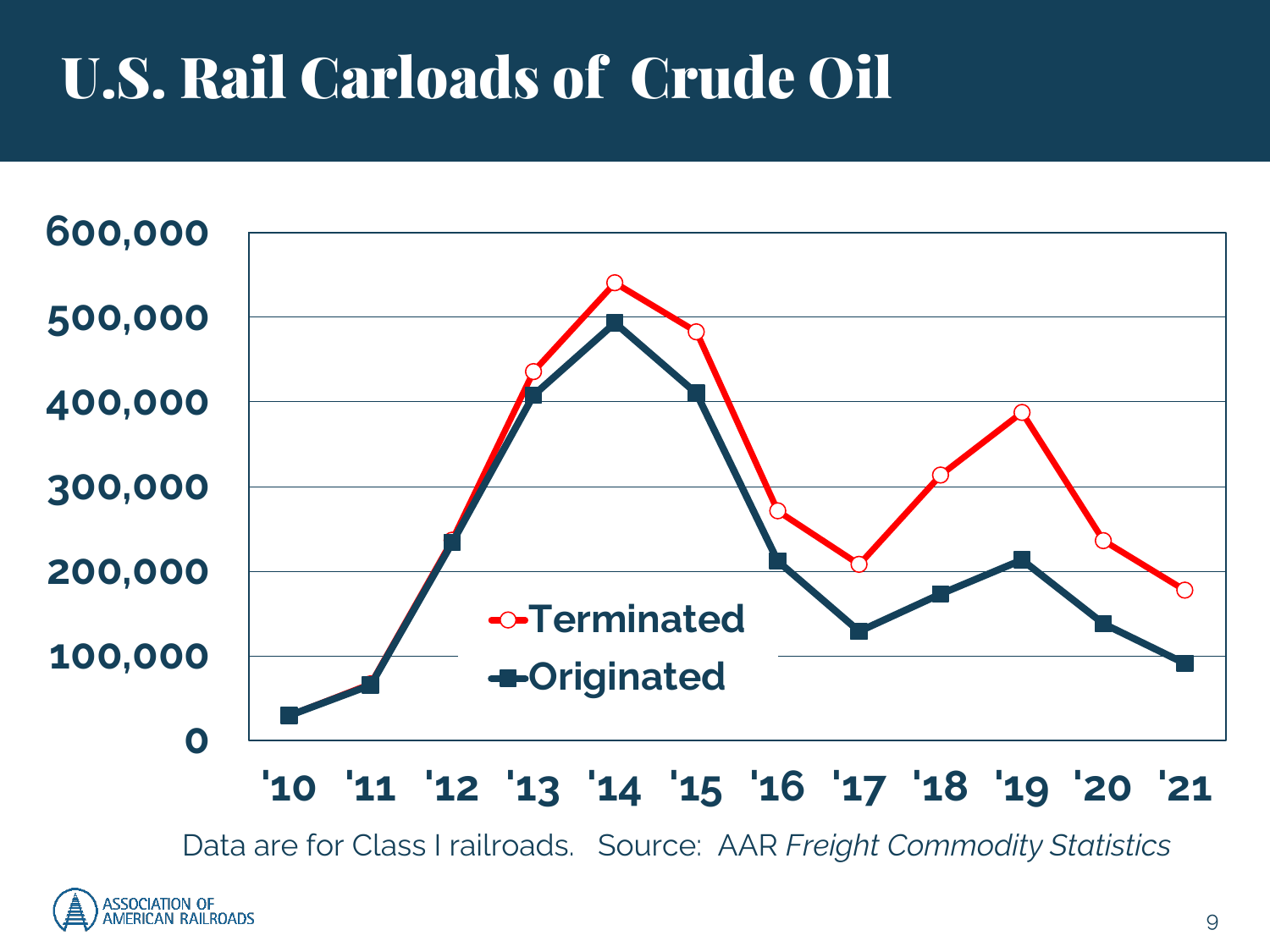# U.S. Rail Carloads of Crude Oil



Data are for Class I railroads. Source: AAR *Freight Commodity Statistics*

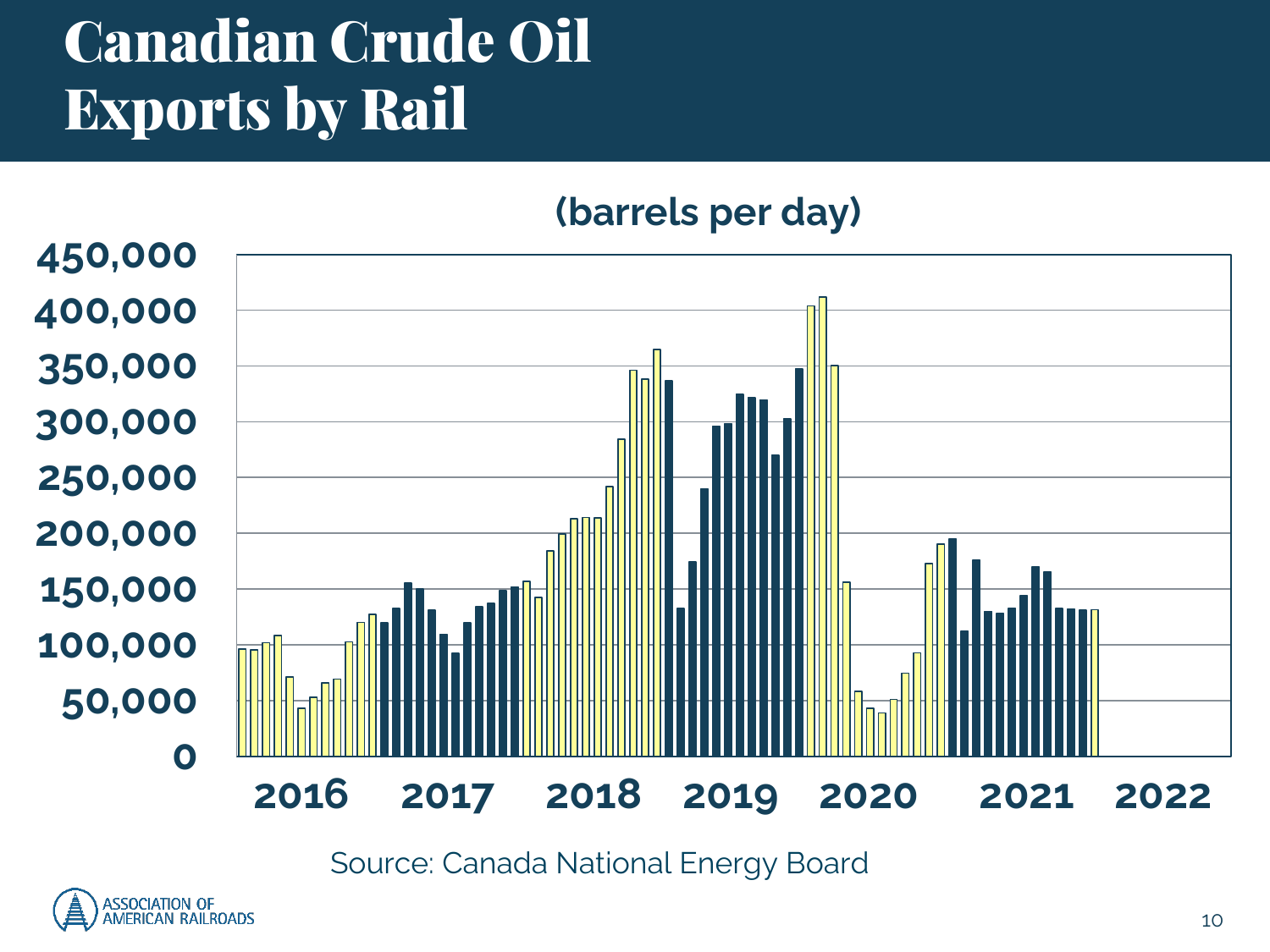# Canadian Crude Oil Exports by Rail

#### **(barrels per day)**



Source: Canada National Energy Board

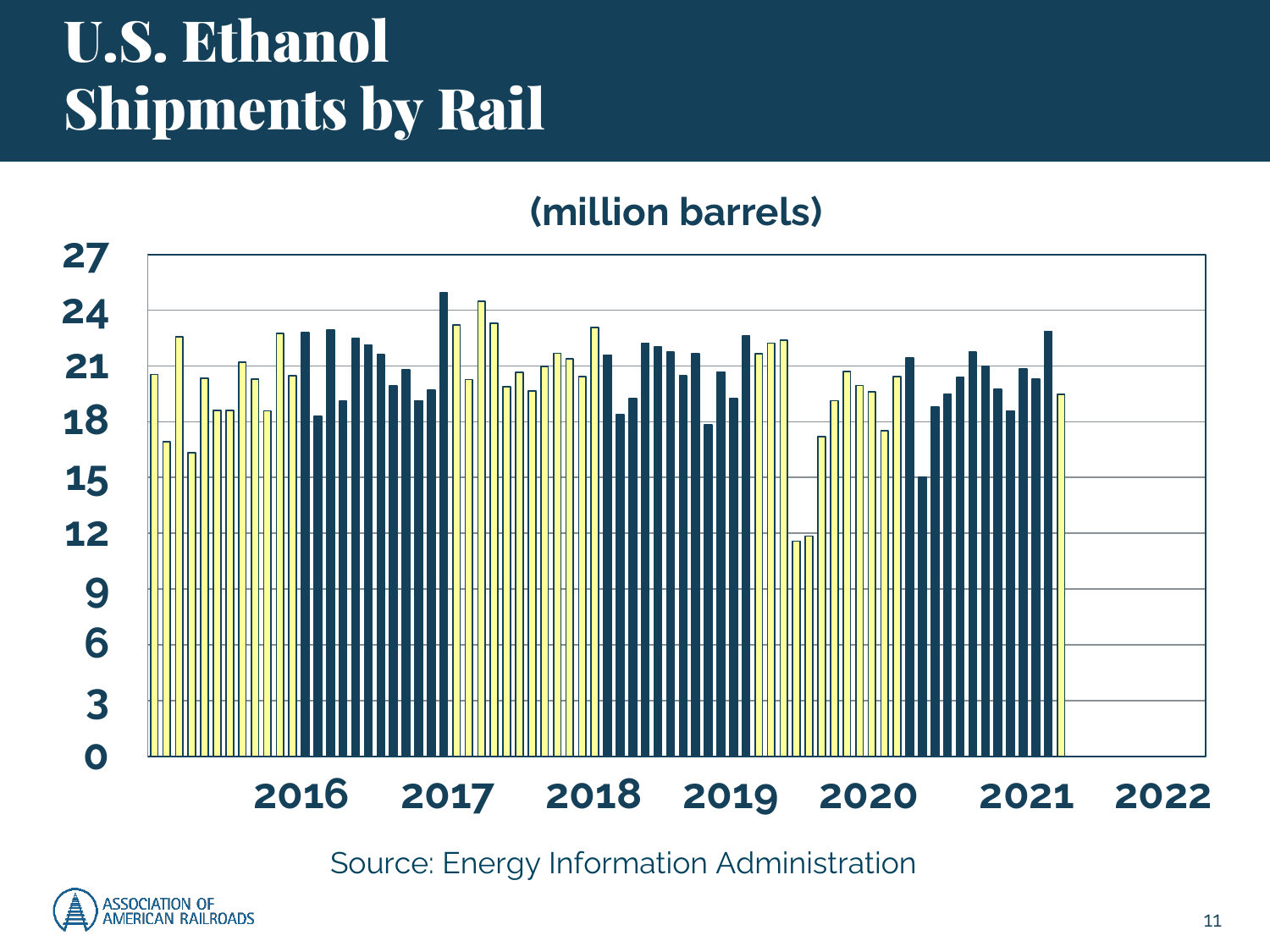# U.S. Ethanol Shipments by Rail

#### **(million barrels)**



Source: Energy Information Administration